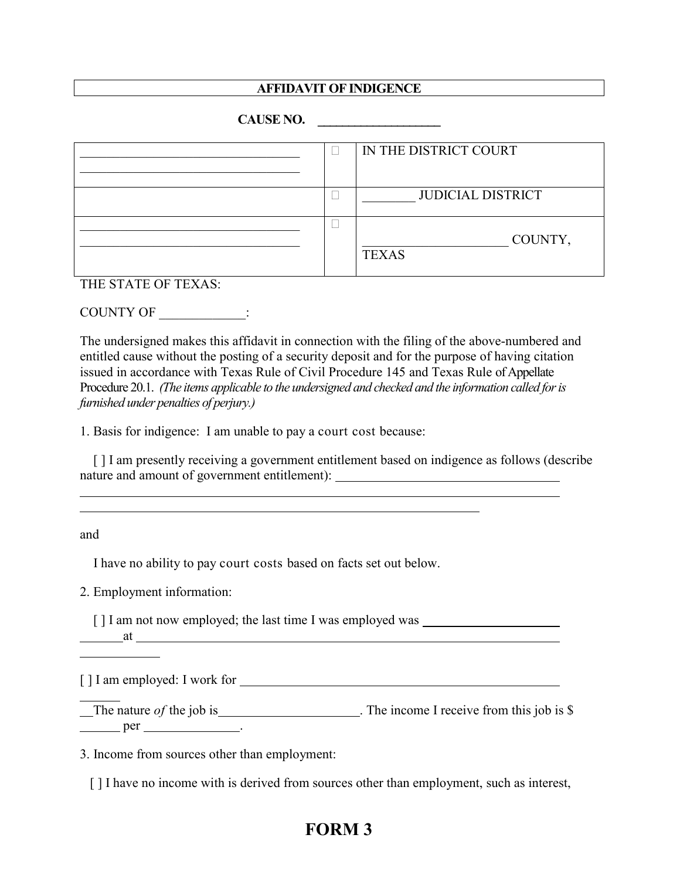## **AFFIDAVIT OF INDIGENCE**

## **CAUSE NO. \_\_\_\_\_\_\_\_\_\_\_\_\_\_\_\_\_\_\_\_**

|  | IN THE DISTRICT COURT    |
|--|--------------------------|
|  |                          |
|  | <b>JUDICIAL DISTRICT</b> |
|  | COUNTY,<br><b>TEXAS</b>  |

THE STATE OF TEXAS:

COUNTY OF  $\qquad \qquad :$ 

The undersigned makes this affidavit in connection with the filing of the above-numbered and entitled cause without the posting of a security deposit and for the purpose of having citation issued in accordance with Texas Rule of Civil Procedure 145 and Texas Rule of Appellate Procedure 20.1. *(The items applicable to the undersigned and checked and the information called for is furnished under penalties of perjury.)*

1. Basis for indigence: I am unable to pay a court cost because:

 [ ] I am presently receiving a government entitlement based on indigence as follows (describe nature and amount of government entitlement):

and

l

 $\overline{a}$ l

I have no ability to pay court costs based on facts set out below.

2. Employment information:

[] I am not now employed; the last time I was employed was at

[ ] I am employed: I work for

The nature *of* the job is . The income I receive from this job is  $\frac{1}{2}$  $per$  per  $per$ 

3. Income from sources other than employment:

[ ] I have no income with is derived from sources other than employment, such as interest,

## **FORM 3**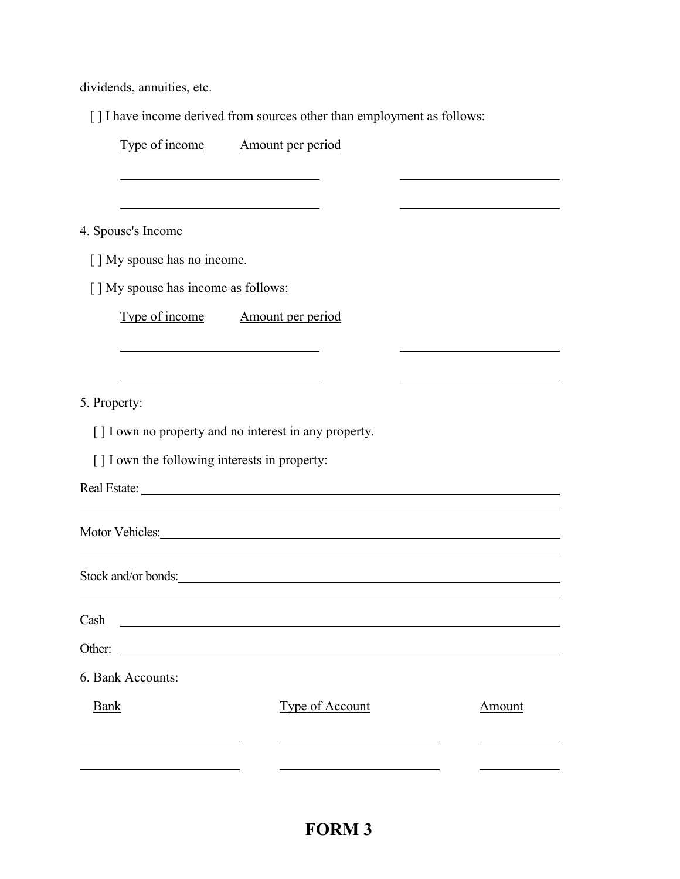dividends, annuities, etc.

[ ] I have income derived from sources other than employment as follows:

|                                                | Type of income Amount per period                       |        |
|------------------------------------------------|--------------------------------------------------------|--------|
|                                                |                                                        |        |
| 4. Spouse's Income                             |                                                        |        |
| [ ] My spouse has no income.                   |                                                        |        |
| [] My spouse has income as follows:            |                                                        |        |
|                                                | Type of income Amount per period                       |        |
|                                                |                                                        |        |
| 5. Property:                                   |                                                        |        |
|                                                | [ ] I own no property and no interest in any property. |        |
| [ ] I own the following interests in property: |                                                        |        |
| Real Estate:                                   |                                                        |        |
|                                                | Motor Vehicles:                                        |        |
|                                                | Stock and/or bonds:                                    |        |
| Cash                                           |                                                        |        |
| Other:                                         |                                                        |        |
| 6. Bank Accounts:                              |                                                        |        |
| <b>Bank</b>                                    | Type of Account                                        | Amount |
|                                                |                                                        |        |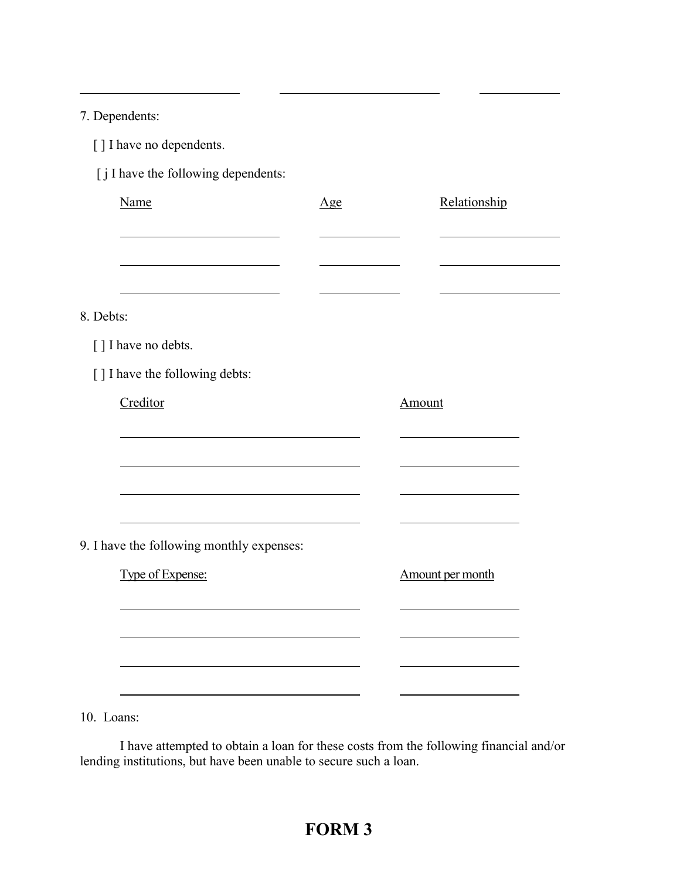7. Dependents:

 $\overline{a}$ 

| [ ] I have no dependents. |
|---------------------------|
|---------------------------|

[ j I have the following dependents:

| Name                                      | <u>Age</u> | Relationship     |
|-------------------------------------------|------------|------------------|
|                                           |            |                  |
|                                           |            |                  |
| 8. Debts:                                 |            |                  |
| [] I have no debts.                       |            |                  |
| [] I have the following debts:            |            |                  |
| Creditor                                  |            | Amount           |
|                                           |            |                  |
|                                           |            |                  |
|                                           |            |                  |
|                                           |            |                  |
| 9. I have the following monthly expenses: |            |                  |
| Type of Expense:                          |            | Amount per month |
|                                           |            |                  |
|                                           |            |                  |
|                                           |            |                  |
|                                           |            |                  |

10. Loans:

 I have attempted to obtain a loan for these costs from the following financial and/or lending institutions, but have been unable to secure such a loan.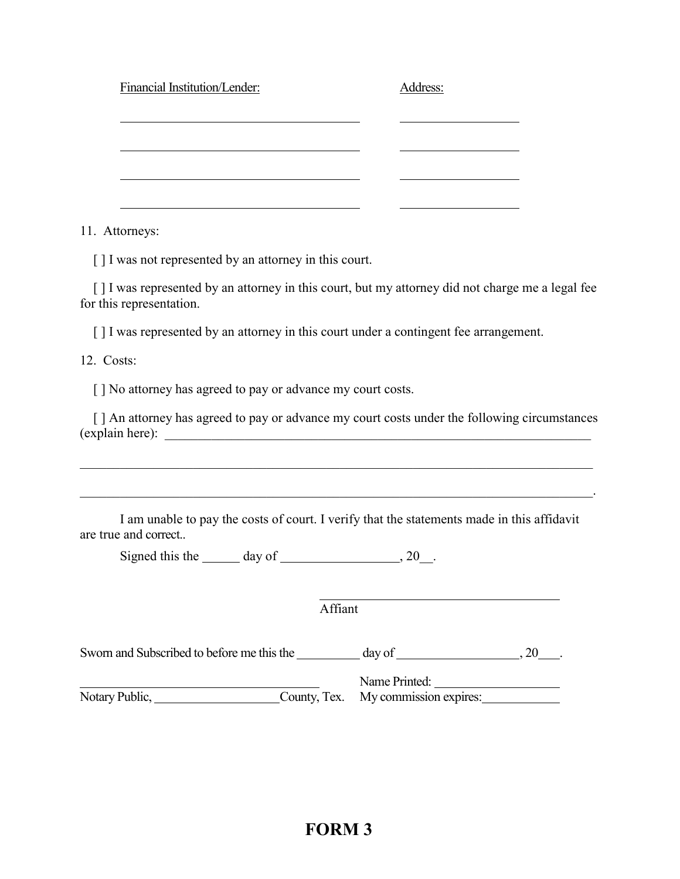| Financial Institution/Lender: | Address: |
|-------------------------------|----------|
|                               |          |
|                               |          |
|                               |          |
|                               |          |

11. Attorneys:

[] I was not represented by an attorney in this court.

[ ] I was represented by an attorney in this court, but my attorney did not charge me a legal fee for this representation.

[ ] I was represented by an attorney in this court under a contingent fee arrangement.

12. Costs:

[] No attorney has agreed to pay or advance my court costs.

[] An attorney has agreed to pay or advance my court costs under the following circumstances (explain here):

 $\mathcal{L}_\mathcal{L} = \{ \mathcal{L}_\mathcal{L} = \{ \mathcal{L}_\mathcal{L} = \{ \mathcal{L}_\mathcal{L} = \{ \mathcal{L}_\mathcal{L} = \{ \mathcal{L}_\mathcal{L} = \{ \mathcal{L}_\mathcal{L} = \{ \mathcal{L}_\mathcal{L} = \{ \mathcal{L}_\mathcal{L} = \{ \mathcal{L}_\mathcal{L} = \{ \mathcal{L}_\mathcal{L} = \{ \mathcal{L}_\mathcal{L} = \{ \mathcal{L}_\mathcal{L} = \{ \mathcal{L}_\mathcal{L} = \{ \mathcal{L}_\mathcal{$ 

\_\_\_\_\_\_\_\_\_\_\_\_\_\_\_\_\_\_\_\_\_\_\_\_\_\_\_\_\_\_\_\_\_\_\_\_\_\_\_\_\_\_\_\_\_\_\_\_\_\_\_\_\_\_\_\_\_\_\_\_\_\_\_\_\_\_\_\_\_\_\_\_\_\_\_\_\_.

I am unable to pay the costs of court. I verify that the statements made in this affidavit are true and correct..

Signed this the day of  $\frac{1}{20}$ , 20.

Affiant

| Sworn and Subscribed to before me this the | day of                              |  |
|--------------------------------------------|-------------------------------------|--|
|                                            | Name Printed:                       |  |
| Notary Public,                             | County, Tex. My commission expires: |  |

 $\overline{a}$